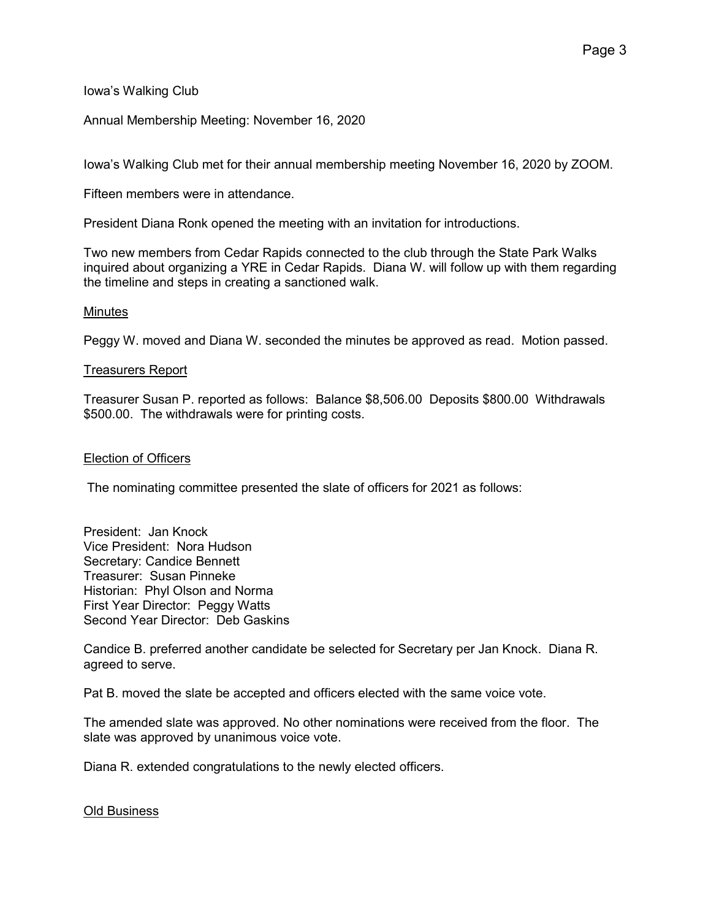Iowa's Walking Club

Annual Membership Meeting: November 16, 2020

Iowa's Walking Club met for their annual membership meeting November 16, 2020 by ZOOM.

Fifteen members were in attendance.

President Diana Ronk opened the meeting with an invitation for introductions.

Two new members from Cedar Rapids connected to the club through the State Park Walks inquired about organizing a YRE in Cedar Rapids. Diana W. will follow up with them regarding the timeline and steps in creating a sanctioned walk.

# Minutes

Peggy W. moved and Diana W. seconded the minutes be approved as read. Motion passed.

# Treasurers Report

Treasurer Susan P. reported as follows: Balance \$8,506.00 Deposits \$800.00 Withdrawals \$500.00. The withdrawals were for printing costs.

# Election of Officers

The nominating committee presented the slate of officers for 2021 as follows:

President: Jan Knock Vice President: Nora Hudson Secretary: Candice Bennett Treasurer: Susan Pinneke Historian: Phyl Olson and Norma First Year Director: Peggy Watts Second Year Director: Deb Gaskins

Candice B. preferred another candidate be selected for Secretary per Jan Knock. Diana R. agreed to serve.

Pat B. moved the slate be accepted and officers elected with the same voice vote.

The amended slate was approved. No other nominations were received from the floor. The slate was approved by unanimous voice vote.

Diana R. extended congratulations to the newly elected officers.

# Old Business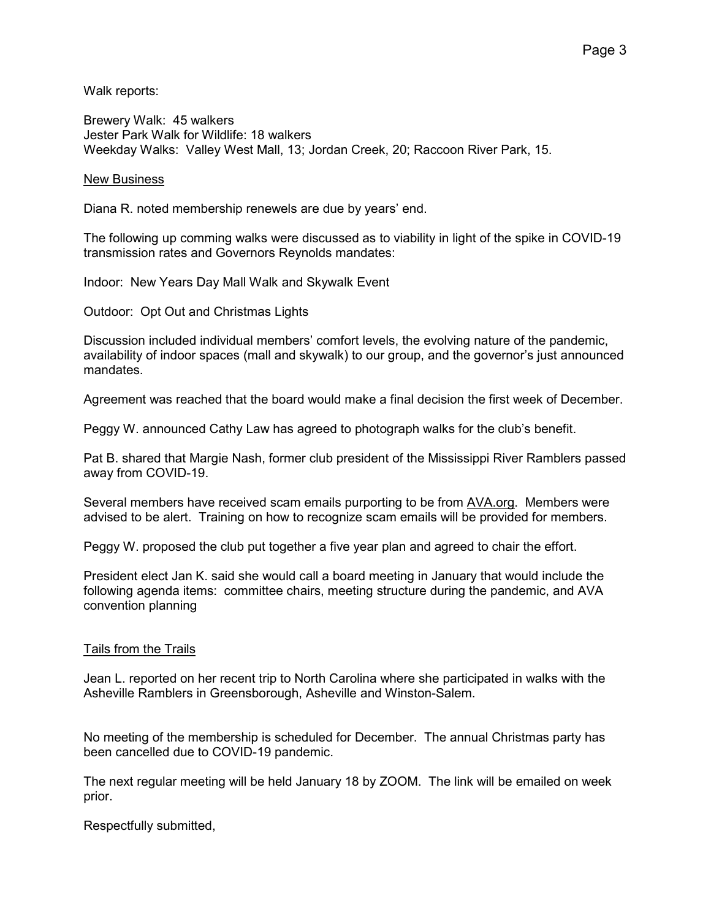Walk reports:

Brewery Walk: 45 walkers Jester Park Walk for Wildlife: 18 walkers Weekday Walks: Valley West Mall, 13; Jordan Creek, 20; Raccoon River Park, 15.

# New Business

Diana R. noted membership renewels are due by years' end.

The following up comming walks were discussed as to viability in light of the spike in COVID-19 transmission rates and Governors Reynolds mandates:

Indoor: New Years Day Mall Walk and Skywalk Event

Outdoor: Opt Out and Christmas Lights

Discussion included individual members' comfort levels, the evolving nature of the pandemic, availability of indoor spaces (mall and skywalk) to our group, and the governor's just announced mandates.

Agreement was reached that the board would make a final decision the first week of December.

Peggy W. announced Cathy Law has agreed to photograph walks for the club's benefit.

Pat B. shared that Margie Nash, former club president of the Mississippi River Ramblers passed away from COVID-19.

Several members have received scam emails purporting to be from AVA.org. Members were advised to be alert. Training on how to recognize scam emails will be provided for members.

Peggy W. proposed the club put together a five year plan and agreed to chair the effort.

President elect Jan K. said she would call a board meeting in January that would include the following agenda items: committee chairs, meeting structure during the pandemic, and AVA convention planning

# Tails from the Trails

Jean L. reported on her recent trip to North Carolina where she participated in walks with the Asheville Ramblers in Greensborough, Asheville and Winston-Salem.

No meeting of the membership is scheduled for December. The annual Christmas party has been cancelled due to COVID-19 pandemic.

The next regular meeting will be held January 18 by ZOOM. The link will be emailed on week prior.

Respectfully submitted,